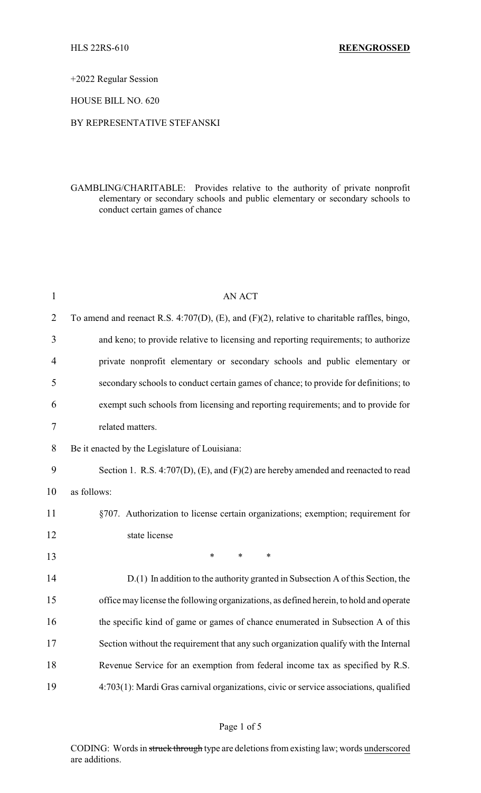+2022 Regular Session

# HOUSE BILL NO. 620

### BY REPRESENTATIVE STEFANSKI

GAMBLING/CHARITABLE: Provides relative to the authority of private nonprofit elementary or secondary schools and public elementary or secondary schools to conduct certain games of chance

| $\mathbf{1}$   | <b>AN ACT</b>                                                                                     |
|----------------|---------------------------------------------------------------------------------------------------|
| $\overline{2}$ | To amend and reenact R.S. 4:707(D), $(E)$ , and $(F)(2)$ , relative to charitable raffles, bingo, |
| 3              | and keno; to provide relative to licensing and reporting requirements; to authorize               |
| $\overline{4}$ | private nonprofit elementary or secondary schools and public elementary or                        |
| 5              | secondary schools to conduct certain games of chance; to provide for definitions; to              |
| 6              | exempt such schools from licensing and reporting requirements; and to provide for                 |
| 7              | related matters.                                                                                  |
| 8              | Be it enacted by the Legislature of Louisiana:                                                    |
| 9              | Section 1. R.S. 4:707(D), (E), and (F)(2) are hereby amended and reenacted to read                |
| 10             | as follows:                                                                                       |
| 11             | §707. Authorization to license certain organizations; exemption; requirement for                  |
| 12             | state license                                                                                     |
| 13             | $\ast$<br>$\ast$<br>$\ast$                                                                        |
| 14             | D.(1) In addition to the authority granted in Subsection A of this Section, the                   |
| 15             | office may license the following organizations, as defined herein, to hold and operate            |
| 16             | the specific kind of game or games of chance enumerated in Subsection A of this                   |
| 17             | Section without the requirement that any such organization qualify with the Internal              |
| 18             | Revenue Service for an exemption from federal income tax as specified by R.S.                     |
| 19             | 4:703(1): Mardi Gras carnival organizations, civic or service associations, qualified             |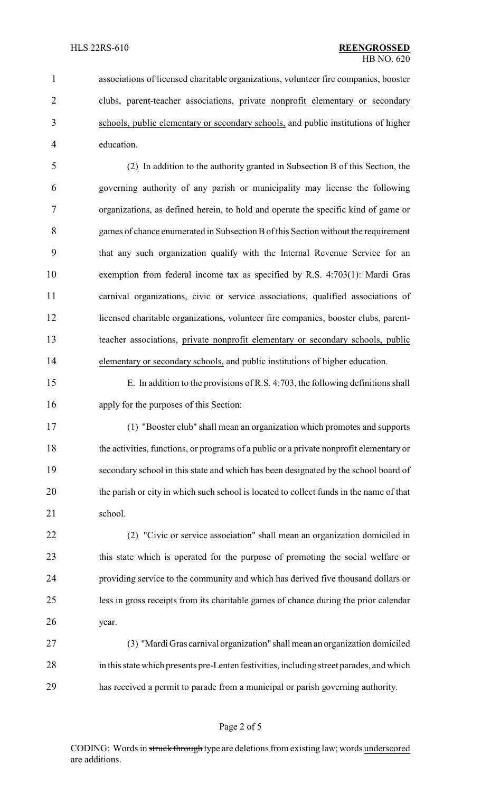associations of licensed charitable organizations, volunteer fire companies, booster clubs, parent-teacher associations, private nonprofit elementary or secondary schools, public elementary or secondary schools, and public institutions of higher education.

 (2) In addition to the authority granted in Subsection B of this Section, the governing authority of any parish or municipality may license the following organizations, as defined herein, to hold and operate the specific kind of game or games of chance enumerated in Subsection Bof this Section without the requirement that any such organization qualify with the Internal Revenue Service for an exemption from federal income tax as specified by R.S. 4:703(1): Mardi Gras carnival organizations, civic or service associations, qualified associations of licensed charitable organizations, volunteer fire companies, booster clubs, parent- teacher associations, private nonprofit elementary or secondary schools, public elementary or secondary schools, and public institutions of higher education.

 E. In addition to the provisions of R.S. 4:703, the following definitions shall apply for the purposes of this Section:

 (1) "Booster club" shall mean an organization which promotes and supports the activities, functions, or programs of a public or a private nonprofit elementary or secondary school in this state and which has been designated by the school board of the parish or city in which such school is located to collect funds in the name of that school.

 (2) "Civic or service association" shall mean an organization domiciled in this state which is operated for the purpose of promoting the social welfare or providing service to the community and which has derived five thousand dollars or less in gross receipts from its charitable games of chance during the prior calendar year.

 (3) "Mardi Gras carnival organization" shall mean an organization domiciled in this state which presents pre-Lenten festivities, including street parades, and which has received a permit to parade from a municipal or parish governing authority.

### Page 2 of 5

CODING: Words in struck through type are deletions from existing law; words underscored are additions.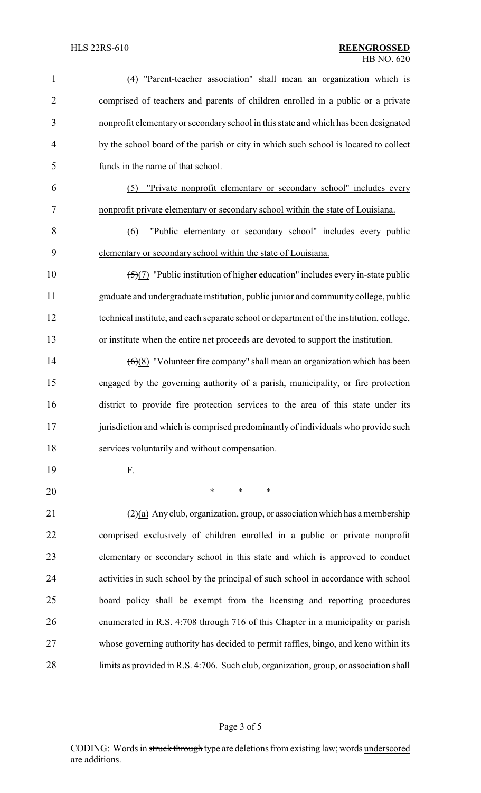| $\mathbf{1}$   | (4) "Parent-teacher association" shall mean an organization which is                          |
|----------------|-----------------------------------------------------------------------------------------------|
| $\overline{2}$ | comprised of teachers and parents of children enrolled in a public or a private               |
| 3              | nonprofit elementary or secondary school in this state and which has been designated          |
| 4              | by the school board of the parish or city in which such school is located to collect          |
| 5              | funds in the name of that school.                                                             |
| 6              | "Private nonprofit elementary or secondary school" includes every<br>(5)                      |
| 7              | nonprofit private elementary or secondary school within the state of Louisiana.               |
| 8              | "Public elementary or secondary school" includes every public<br>(6)                          |
| 9              | elementary or secondary school within the state of Louisiana.                                 |
| 10             | $\frac{5}{7}$ "Public institution of higher education" includes every in-state public         |
| 11             | graduate and undergraduate institution, public junior and community college, public           |
| 12             | technical institute, and each separate school or department of the institution, college,      |
| 13             | or institute when the entire net proceeds are devoted to support the institution.             |
| 14             | $\left(\frac{6}{8}\right)$ "Volunteer fire company" shall mean an organization which has been |
| 15             | engaged by the governing authority of a parish, municipality, or fire protection              |
| 16             | district to provide fire protection services to the area of this state under its              |
| 17             | jurisdiction and which is comprised predominantly of individuals who provide such             |
| 18             | services voluntarily and without compensation.                                                |
| 19             | F.                                                                                            |
| 20             | $\ast$<br>$\ast$<br>$\ast$                                                                    |
| 21             | $(2)(a)$ Any club, organization, group, or association which has a membership                 |
| 22             | comprised exclusively of children enrolled in a public or private nonprofit                   |
| 23             | elementary or secondary school in this state and which is approved to conduct                 |
| 24             | activities in such school by the principal of such school in accordance with school           |
| 25             | board policy shall be exempt from the licensing and reporting procedures                      |
| 26             | enumerated in R.S. 4:708 through 716 of this Chapter in a municipality or parish              |
| 27             | whose governing authority has decided to permit raffles, bingo, and keno within its           |
| 28             | limits as provided in R.S. 4:706. Such club, organization, group, or association shall        |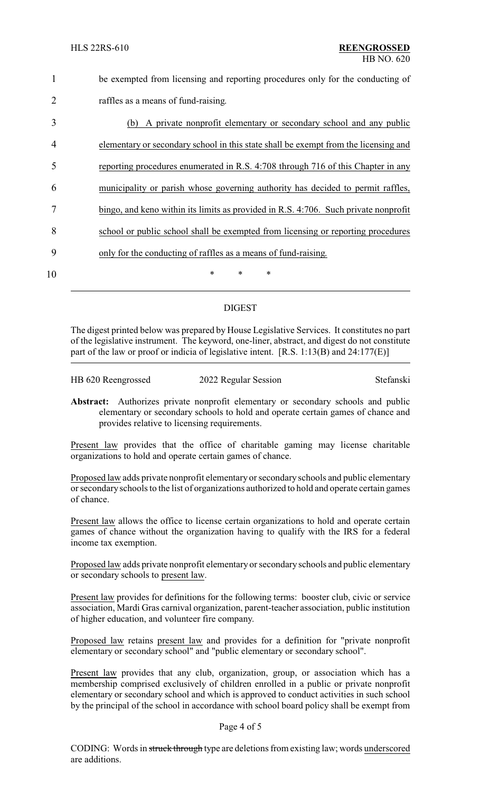| be exempted from licensing and reporting procedures only for the conducting of |
|--------------------------------------------------------------------------------|
| raffles as a means of fund-raising.                                            |

| 3  | (b) A private nonprofit elementary or secondary school and any public               |
|----|-------------------------------------------------------------------------------------|
| 4  | elementary or secondary school in this state shall be exempt from the licensing and |
|    | reporting procedures enumerated in R.S. 4:708 through 716 of this Chapter in any    |
| 6  | municipality or parish whose governing authority has decided to permit raffles,     |
|    | bingo, and keno within its limits as provided in R.S. 4:706. Such private nonprofit |
| 8  | school or public school shall be exempted from licensing or reporting procedures    |
| 9  | only for the conducting of raffles as a means of fund-raising.                      |
| 10 | $\ast$<br>∗<br>∗                                                                    |

# DIGEST

The digest printed below was prepared by House Legislative Services. It constitutes no part of the legislative instrument. The keyword, one-liner, abstract, and digest do not constitute part of the law or proof or indicia of legislative intent. [R.S. 1:13(B) and 24:177(E)]

HB 620 Reengrossed 2022 Regular Session Stefanski

**Abstract:** Authorizes private nonprofit elementary or secondary schools and public elementary or secondary schools to hold and operate certain games of chance and provides relative to licensing requirements.

Present law provides that the office of charitable gaming may license charitable organizations to hold and operate certain games of chance.

Proposed law adds private nonprofit elementary or secondary schools and public elementary or secondary schools to the list of organizations authorized to hold and operate certain games of chance.

Present law allows the office to license certain organizations to hold and operate certain games of chance without the organization having to qualify with the IRS for a federal income tax exemption.

Proposed law adds private nonprofit elementary or secondary schools and public elementary or secondary schools to present law.

Present law provides for definitions for the following terms: booster club, civic or service association, Mardi Gras carnival organization, parent-teacher association, public institution of higher education, and volunteer fire company.

Proposed law retains present law and provides for a definition for "private nonprofit elementary or secondary school" and "public elementary or secondary school".

Present law provides that any club, organization, group, or association which has a membership comprised exclusively of children enrolled in a public or private nonprofit elementary or secondary school and which is approved to conduct activities in such school by the principal of the school in accordance with school board policy shall be exempt from

#### Page 4 of 5

CODING: Words in struck through type are deletions from existing law; words underscored are additions.